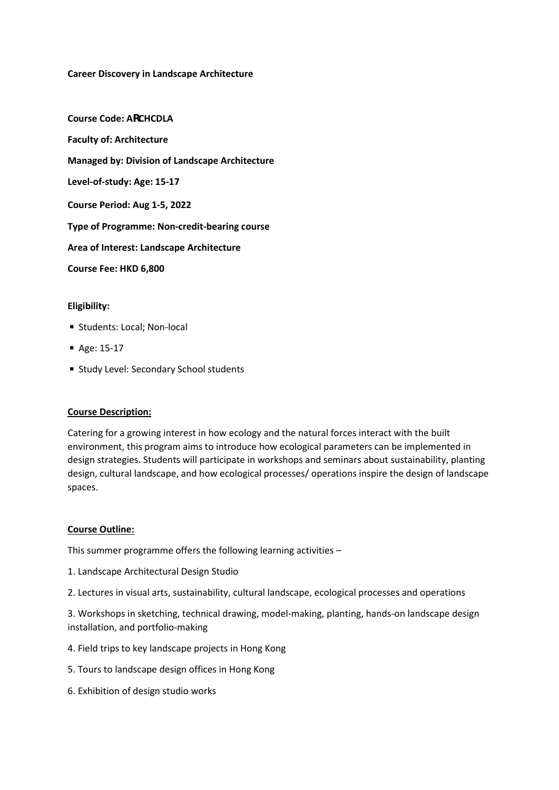### **Career Discovery in Landscape Architecture**

**Course Code: ARCHCDLA Faculty of: Architecture Managed by: Division of Landscape Architecture Level-of-study: Age: 15-17 Course Period: Aug 1-5, 2022 Type of Programme: Non-credit-bearing course Area of Interest: Landscape Architecture Course Fee: HKD 6,800**

### **Eligibility:**

- Students: Local; Non-local
- Age: 15-17
- Study Level: Secondary School students

#### **Course Description:**

Catering for a growing interest in how ecology and the natural forces interact with the built environment, this program aims to introduce how ecological parameters can be implemented in design strategies. Students will participate in workshops and seminars about sustainability, planting design, cultural landscape, and how ecological processes/ operations inspire the design of landscape spaces.

#### **Course Outline:**

This summer programme offers the following learning activities –

- 1. Landscape Architectural Design Studio
- 2. Lectures in visual arts, sustainability, cultural landscape, ecological processes and operations

3. Workshops in sketching, technical drawing, model-making, planting, hands-on landscape design installation, and portfolio-making

- 4. Field trips to key landscape projects in Hong Kong
- 5. Tours to landscape design offices in Hong Kong
- 6. Exhibition of design studio works